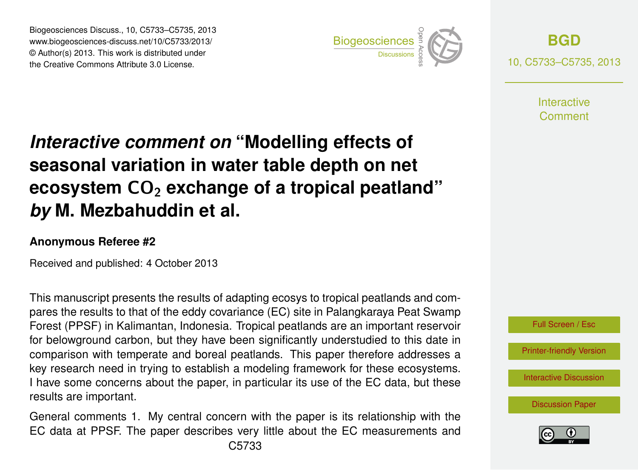Biogeosciences Discuss., 10, C5733–C5735, 2013 www.biogeosciences-discuss.net/10/C5733/2013/ www.biogeosciences-ulscuss.net/10/05/33/2013/<br>© Author(s) 2013. This work is distributed under the Creative Commons Attribute 3.0 License.



**[BGD](http://www.biogeosciences-discuss.net)** 10, C5733–C5735, 2013

> **Interactive** Comment

## Earth System seasonal variation in water table depth on net  $\mathbf{a}$ Open Access Interactive comment on "Modelling effects of **ecosystem CO<sub>2</sub> exchange of a tropical peatland"**  $dim$  ot c *by* M. Mezbahuddin et al.  $\overline{a}$

## **Anonymous Referee #2**

Received and published: 4 October 2013

This manuscript presents the results of adapting ecosys to tropical peatlands and com-่<br>เด er<br>Ar Forest (PPSF) in Kalimantan, Indonesia. Tropical peatlands are an important reservoir for belowground carbon, but they have been significantly understudied to this date in comparison with temperate and boreal peatlands. This paper therefore addresses a .<br>p re<br>S<br>re key research need in trying to establish a modeling framework for these ecosystems. اا<br>م ر<br>د pares the results to that of the eddy covariance (EC) site in Palangkaraya Peat Swamp I have some concerns about the paper, in particular its use of the EC data, but these results are important.

General comments 1. My central concern with the paper is its relationship with the EC data at PPSF. The paper describes very little about the EC measurements and



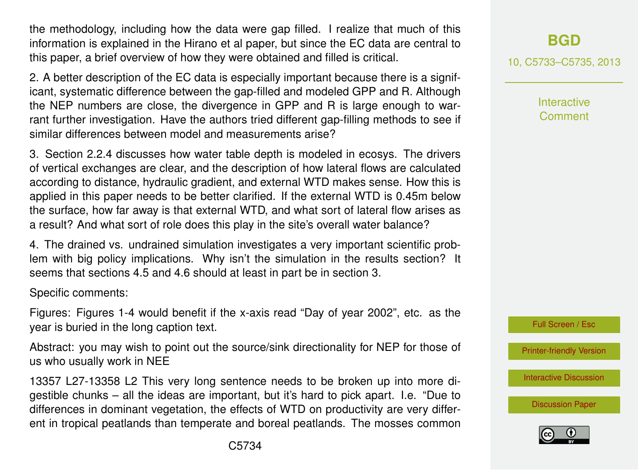the methodology, including how the data were gap filled. I realize that much of this information is explained in the Hirano et al paper, but since the EC data are central to this paper, a brief overview of how they were obtained and filled is critical.

2. A better description of the EC data is especially important because there is a significant, systematic difference between the gap-filled and modeled GPP and R. Although the NEP numbers are close, the divergence in GPP and R is large enough to warrant further investigation. Have the authors tried different gap-filling methods to see if similar differences between model and measurements arise?

3. Section 2.2.4 discusses how water table depth is modeled in ecosys. The drivers of vertical exchanges are clear, and the description of how lateral flows are calculated according to distance, hydraulic gradient, and external WTD makes sense. How this is applied in this paper needs to be better clarified. If the external WTD is 0.45m below the surface, how far away is that external WTD, and what sort of lateral flow arises as a result? And what sort of role does this play in the site's overall water balance?

4. The drained vs. undrained simulation investigates a very important scientific problem with big policy implications. Why isn't the simulation in the results section? It seems that sections 4.5 and 4.6 should at least in part be in section 3.

Specific comments:

Figures: Figures 1-4 would benefit if the x-axis read "Day of year 2002", etc. as the year is buried in the long caption text.

Abstract: you may wish to point out the source/sink directionality for NEP for those of us who usually work in NEE

13357 L27-13358 L2 This very long sentence needs to be broken up into more digestible chunks – all the ideas are important, but it's hard to pick apart. I.e. "Due to differences in dominant vegetation, the effects of WTD on productivity are very different in tropical peatlands than temperate and boreal peatlands. The mosses common 10, C5733–C5735, 2013

**Interactive Comment** 



[Printer-friendly Version](http://www.biogeosciences-discuss.net/10/C5733/2013/bgd-10-C5733-2013-print.pdf)

[Interactive Discussion](http://www.biogeosciences-discuss.net/10/13353/2013/bgd-10-13353-2013-discussion.html)

[Discussion Paper](http://www.biogeosciences-discuss.net/10/13353/2013/bgd-10-13353-2013.pdf)